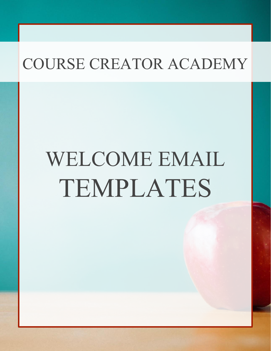# WELCOME EMAIL TEMPLATES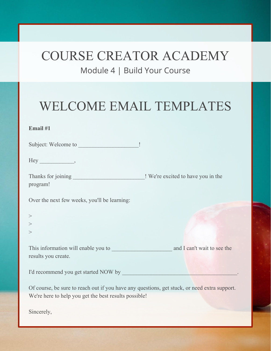#### Module 4 | Build Your Course

#### WELCOME EMAIL TEMPLATES

#### **Email #1**

Subject: Welcome to \_\_\_\_\_\_\_\_\_\_\_\_\_\_\_\_\_\_\_\_\_!

Hey \_\_\_\_\_\_\_\_\_\_\_\_\_\_\_\_,

Thanks for joining \_\_\_\_\_\_\_\_\_\_\_\_\_\_\_\_\_\_\_\_\_\_\_\_\_! We're excited to have you in the program!

Over the next few weeks, you'll be learning:

| >     |  |  |  |
|-------|--|--|--|
| >     |  |  |  |
| $\gt$ |  |  |  |

This information will enable you to \_\_\_\_\_\_\_\_\_\_\_\_\_\_\_\_\_\_\_\_\_ and I can't wait to see the results you create.

I'd recommend you get started NOW by \_\_\_\_\_\_\_\_\_\_\_\_\_\_\_\_\_\_\_\_\_\_\_\_\_\_\_\_\_\_\_\_\_\_\_\_\_\_\_\_.

Of course, be sure to reach out if you have any questions, get stuck, or need extra support. We're here to help you get the best results possible!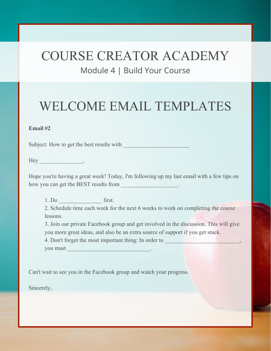Module 4 | Build Your Course

#### WELCOME EMAIL TEMPLATES

#### **Email #2**

Subject: How to get the best results with

Hey the contract of the contract of the contract of the contract of the contract of the contract of the contract of the contract of the contract of the contract of the contract of the contract of the contract of the contra

Hope you're having a great week! Today, I'm following up my last email with a few tips on how you can get the BEST results from  $\blacksquare$ 

1. Do \_\_\_\_\_\_\_\_\_\_\_\_\_\_\_ first.

2. Schedule time each week for the next 6 weeks to work on completing the course lessons.

3. Join our private Facebook group and get involved in the discussion. This will give you more great ideas, and also be an extra source of support if you get stuck.

4. Don't forget the most important thing: In order to

you must

Can't wait to see you in the Facebook group and watch your progress.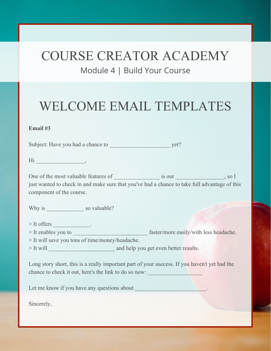#### Module 4 | Build Your Course

### WELCOME EMAIL TEMPLATES

#### **Email #3**

Subject: Have you had a chance to \_\_\_\_\_\_\_\_\_\_\_\_\_\_\_\_\_\_\_\_\_ yet?

 $\rm{Hi}$  ,

One of the most valuable features of \_\_\_\_\_\_\_\_\_\_\_\_\_\_\_\_ is our \_\_\_\_\_\_\_\_\_\_\_\_\_\_\_\_\_, so I just wanted to check in and make sure that you've had a chance to take full advantage of this component of the course.

Why is so valuable?

 $>$  It offers  $\_\_$ .

> It enables you to  $\frac{1}{2}$  faster/more easily/with less headache.

> It will save you tons of time/money/headache.

> It will and help you get even better results.

Long story short, this is a really important part of your success. If you haven't yet had the chance to check it out, here's the link to do so now:

Let me know if you have any questions about